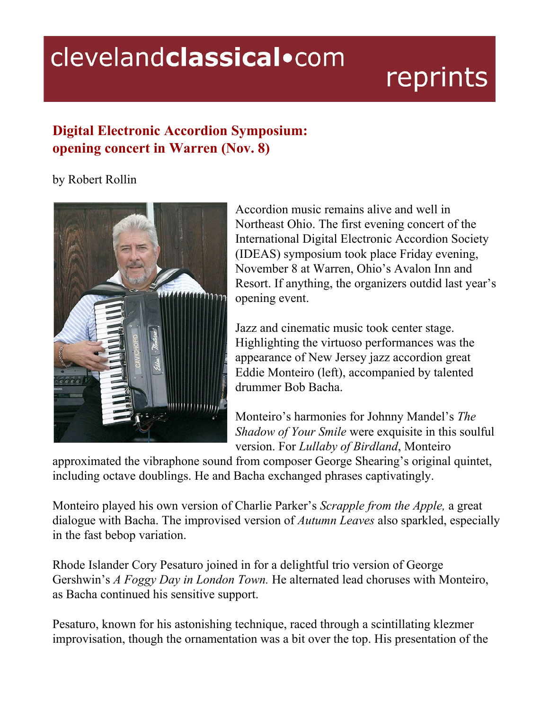## clevelandclassical.com

## reprints

## **Digital Electronic Accordion Symposium: opening concert in Warren (Nov. 8)**

## by Robert Rollin



Accordion music remains alive and well in Northeast Ohio. The first evening concert of the International Digital Electronic Accordion Society (IDEAS) symposium took place Friday evening, November 8 at Warren, Ohio's Avalon Inn and Resort. If anything, the organizers outdid last year's opening event.

Jazz and cinematic music took center stage. Highlighting the virtuoso performances was the appearance of New Jersey jazz accordion great Eddie Monteiro (left), accompanied by talented drummer Bob Bacha.

Monteiro's harmonies for Johnny Mandel's *The Shadow of Your Smile* were exquisite in this soulful version. For *Lullaby of Birdland*, Monteiro

approximated the vibraphone sound from composer George Shearing's original quintet, including octave doublings. He and Bacha exchanged phrases captivatingly.

Monteiro played his own version of Charlie Parker's *Scrapple from the Apple,* a great dialogue with Bacha. The improvised version of *Autumn Leaves* also sparkled, especially in the fast bebop variation.

Rhode Islander Cory Pesaturo joined in for a delightful trio version of George Gershwin's *A Foggy Day in London Town.* He alternated lead choruses with Monteiro, as Bacha continued his sensitive support.

Pesaturo, known for his astonishing technique, raced through a scintillating klezmer improvisation, though the ornamentation was a bit over the top. His presentation of the